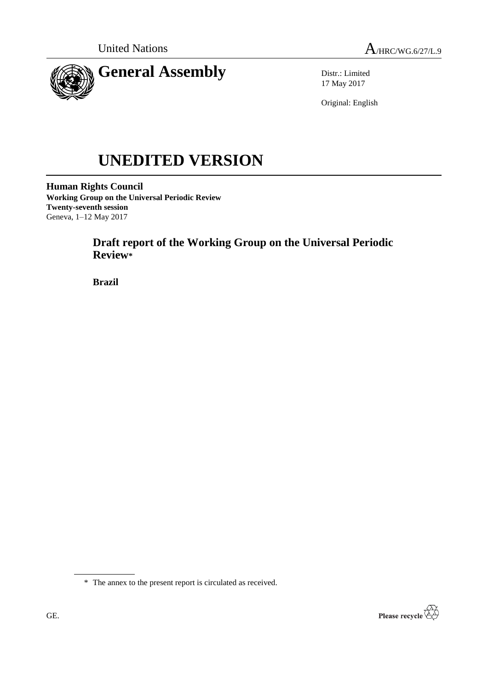



Distr.: Limited 17 May 2017

Original: English

# **UNEDITED VERSION**

**Human Rights Council Working Group on the Universal Periodic Review Twenty-seventh session** Geneva, 1–12 May 2017

# **Draft report of the Working Group on the Universal Periodic Review\***

**Brazil**



<sup>\*</sup> The annex to the present report is circulated as received.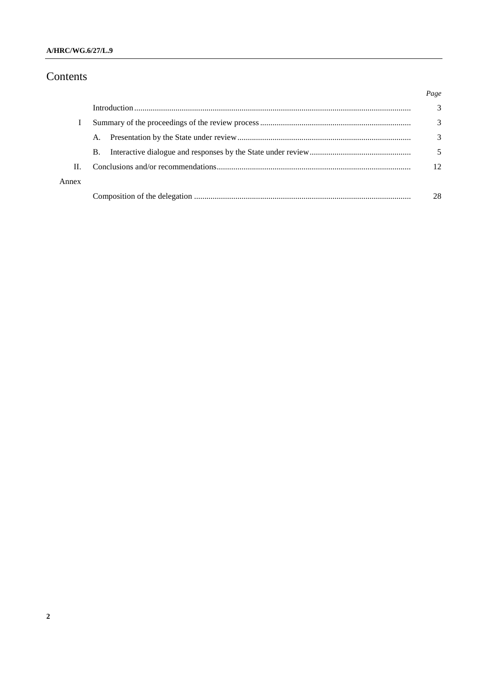## Contents

|       |           | Page |
|-------|-----------|------|
|       |           | 3    |
|       |           | 3    |
|       | A.        | 3    |
|       | <b>B.</b> |      |
| H.    |           | 12   |
| Annex |           |      |
|       |           | 28   |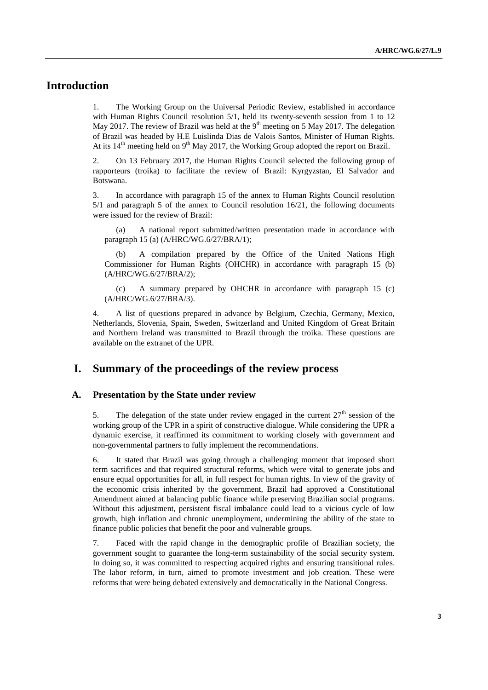## **Introduction**

1. The Working Group on the Universal Periodic Review, established in accordance with Human Rights Council resolution 5/1, held its twenty-seventh session from 1 to 12 May 2017. The review of Brazil was held at the  $9<sup>th</sup>$  meeting on 5 May 2017. The delegation of Brazil was headed by H.E Luislinda Dias de Valois Santos, Minister of Human Rights. At its  $14<sup>th</sup>$  meeting held on 9<sup>th</sup> May 2017, the Working Group adopted the report on Brazil.

2. On 13 February 2017, the Human Rights Council selected the following group of rapporteurs (troika) to facilitate the review of Brazil: Kyrgyzstan, El Salvador and Botswana.

3. In accordance with paragraph 15 of the annex to Human Rights Council resolution 5/1 and paragraph 5 of the annex to Council resolution 16/21, the following documents were issued for the review of Brazil:

(a) A national report submitted/written presentation made in accordance with paragraph 15 (a) (A/HRC/WG.6/27/BRA/1);

(b) A compilation prepared by the Office of the United Nations High Commissioner for Human Rights (OHCHR) in accordance with paragraph 15 (b) (A/HRC/WG.6/27/BRA/2);

(c) A summary prepared by OHCHR in accordance with paragraph 15 (c) (A/HRC/WG.6/27/BRA/3).

4. A list of questions prepared in advance by Belgium, Czechia, Germany, Mexico, Netherlands, Slovenia, Spain, Sweden, Switzerland and United Kingdom of Great Britain and Northern Ireland was transmitted to Brazil through the troika. These questions are available on the extranet of the UPR.

## **I. Summary of the proceedings of the review process**

#### **A. Presentation by the State under review**

5. The delegation of the state under review engaged in the current  $27<sup>th</sup>$  session of the working group of the UPR in a spirit of constructive dialogue. While considering the UPR a dynamic exercise, it reaffirmed its commitment to working closely with government and non-governmental partners to fully implement the recommendations.

6. It stated that Brazil was going through a challenging moment that imposed short term sacrifices and that required structural reforms, which were vital to generate jobs and ensure equal opportunities for all, in full respect for human rights. In view of the gravity of the economic crisis inherited by the government, Brazil had approved a Constitutional Amendment aimed at balancing public finance while preserving Brazilian social programs. Without this adjustment, persistent fiscal imbalance could lead to a vicious cycle of low growth, high inflation and chronic unemployment, undermining the ability of the state to finance public policies that benefit the poor and vulnerable groups.

7. Faced with the rapid change in the demographic profile of Brazilian society, the government sought to guarantee the long-term sustainability of the social security system. In doing so, it was committed to respecting acquired rights and ensuring transitional rules. The labor reform, in turn, aimed to promote investment and job creation. These were reforms that were being debated extensively and democratically in the National Congress.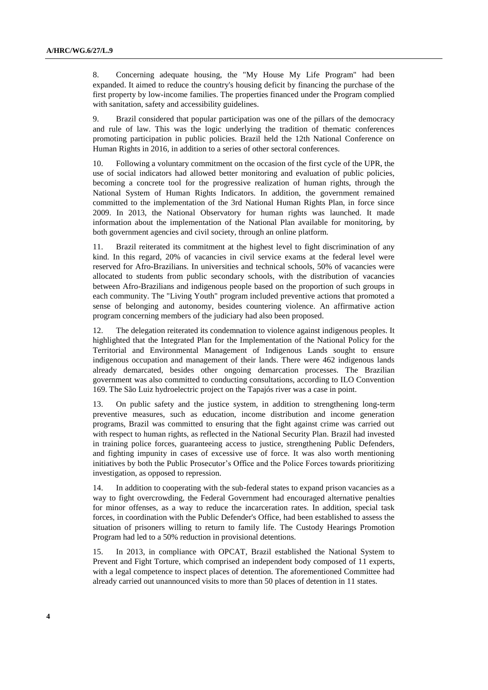8. Concerning adequate housing, the "My House My Life Program" had been expanded. It aimed to reduce the country's housing deficit by financing the purchase of the first property by low-income families. The properties financed under the Program complied with sanitation, safety and accessibility guidelines.

9. Brazil considered that popular participation was one of the pillars of the democracy and rule of law. This was the logic underlying the tradition of thematic conferences promoting participation in public policies. Brazil held the 12th National Conference on Human Rights in 2016, in addition to a series of other sectoral conferences.

10. Following a voluntary commitment on the occasion of the first cycle of the UPR, the use of social indicators had allowed better monitoring and evaluation of public policies, becoming a concrete tool for the progressive realization of human rights, through the National System of Human Rights Indicators. In addition, the government remained committed to the implementation of the 3rd National Human Rights Plan, in force since 2009. In 2013, the National Observatory for human rights was launched. It made information about the implementation of the National Plan available for monitoring, by both government agencies and civil society, through an online platform.

11. Brazil reiterated its commitment at the highest level to fight discrimination of any kind. In this regard, 20% of vacancies in civil service exams at the federal level were reserved for Afro-Brazilians. In universities and technical schools, 50% of vacancies were allocated to students from public secondary schools, with the distribution of vacancies between Afro-Brazilians and indigenous people based on the proportion of such groups in each community. The "Living Youth" program included preventive actions that promoted a sense of belonging and autonomy, besides countering violence. An affirmative action program concerning members of the judiciary had also been proposed.

12. The delegation reiterated its condemnation to violence against indigenous peoples. It highlighted that the Integrated Plan for the Implementation of the National Policy for the Territorial and Environmental Management of Indigenous Lands sought to ensure indigenous occupation and management of their lands. There were 462 indigenous lands already demarcated, besides other ongoing demarcation processes. The Brazilian government was also committed to conducting consultations, according to ILO Convention 169. The São Luiz hydroelectric project on the Tapajós river was a case in point.

13. On public safety and the justice system, in addition to strengthening long-term preventive measures, such as education, income distribution and income generation programs, Brazil was committed to ensuring that the fight against crime was carried out with respect to human rights, as reflected in the National Security Plan. Brazil had invested in training police forces, guaranteeing access to justice, strengthening Public Defenders, and fighting impunity in cases of excessive use of force. It was also worth mentioning initiatives by both the Public Prosecutor's Office and the Police Forces towards prioritizing investigation, as opposed to repression.

14. In addition to cooperating with the sub-federal states to expand prison vacancies as a way to fight overcrowding, the Federal Government had encouraged alternative penalties for minor offenses, as a way to reduce the incarceration rates. In addition, special task forces, in coordination with the Public Defender's Office, had been established to assess the situation of prisoners willing to return to family life. The Custody Hearings Promotion Program had led to a 50% reduction in provisional detentions.

15. In 2013, in compliance with OPCAT, Brazil established the National System to Prevent and Fight Torture, which comprised an independent body composed of 11 experts, with a legal competence to inspect places of detention. The aforementioned Committee had already carried out unannounced visits to more than 50 places of detention in 11 states.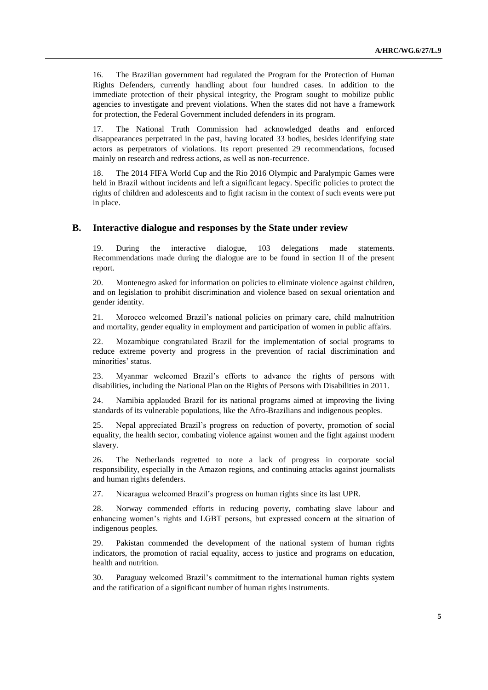16. The Brazilian government had regulated the Program for the Protection of Human Rights Defenders, currently handling about four hundred cases. In addition to the immediate protection of their physical integrity, the Program sought to mobilize public agencies to investigate and prevent violations. When the states did not have a framework for protection, the Federal Government included defenders in its program.

17. The National Truth Commission had acknowledged deaths and enforced disappearances perpetrated in the past, having located 33 bodies, besides identifying state actors as perpetrators of violations. Its report presented 29 recommendations, focused mainly on research and redress actions, as well as non-recurrence.

18. The 2014 FIFA World Cup and the Rio 2016 Olympic and Paralympic Games were held in Brazil without incidents and left a significant legacy. Specific policies to protect the rights of children and adolescents and to fight racism in the context of such events were put in place.

#### **B. Interactive dialogue and responses by the State under review**

19. During the interactive dialogue, 103 delegations made statements. Recommendations made during the dialogue are to be found in section II of the present report.

20. Montenegro asked for information on policies to eliminate violence against children, and on legislation to prohibit discrimination and violence based on sexual orientation and gender identity.

21. Morocco welcomed Brazil's national policies on primary care, child malnutrition and mortality, gender equality in employment and participation of women in public affairs.

22. Mozambique congratulated Brazil for the implementation of social programs to reduce extreme poverty and progress in the prevention of racial discrimination and minorities' status.

23. Myanmar welcomed Brazil's efforts to advance the rights of persons with disabilities, including the National Plan on the Rights of Persons with Disabilities in 2011.

24. Namibia applauded Brazil for its national programs aimed at improving the living standards of its vulnerable populations, like the Afro-Brazilians and indigenous peoples.

25. Nepal appreciated Brazil's progress on reduction of poverty, promotion of social equality, the health sector, combating violence against women and the fight against modern slavery.

26. The Netherlands regretted to note a lack of progress in corporate social responsibility, especially in the Amazon regions, and continuing attacks against journalists and human rights defenders.

27. Nicaragua welcomed Brazil's progress on human rights since its last UPR.

28. Norway commended efforts in reducing poverty, combating slave labour and enhancing women's rights and LGBT persons, but expressed concern at the situation of indigenous peoples.

29. Pakistan commended the development of the national system of human rights indicators, the promotion of racial equality, access to justice and programs on education, health and nutrition.

30. Paraguay welcomed Brazil's commitment to the international human rights system and the ratification of a significant number of human rights instruments.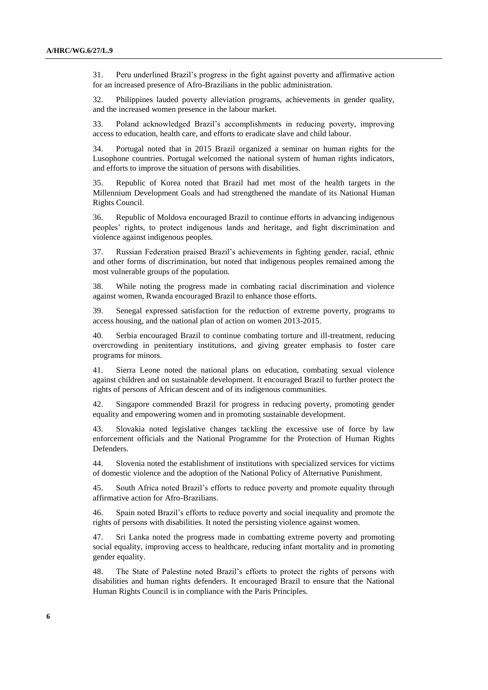31. Peru underlined Brazil's progress in the fight against poverty and affirmative action for an increased presence of Afro-Brazilians in the public administration.

32. Philippines lauded poverty alleviation programs, achievements in gender quality, and the increased women presence in the labour market.

33. Poland acknowledged Brazil's accomplishments in reducing poverty, improving access to education, health care, and efforts to eradicate slave and child labour.

34. Portugal noted that in 2015 Brazil organized a seminar on human rights for the Lusophone countries. Portugal welcomed the national system of human rights indicators, and efforts to improve the situation of persons with disabilities.

35. Republic of Korea noted that Brazil had met most of the health targets in the Millennium Development Goals and had strengthened the mandate of its National Human Rights Council.

36. Republic of Moldova encouraged Brazil to continue efforts in advancing indigenous peoples' rights, to protect indigenous lands and heritage, and fight discrimination and violence against indigenous peoples.

37. Russian Federation praised Brazil's achievements in fighting gender, racial, ethnic and other forms of discrimination, but noted that indigenous peoples remained among the most vulnerable groups of the population.

38. While noting the progress made in combating racial discrimination and violence against women, Rwanda encouraged Brazil to enhance those efforts.

39. Senegal expressed satisfaction for the reduction of extreme poverty, programs to access housing, and the national plan of action on women 2013-2015.

40. Serbia encouraged Brazil to continue combating torture and ill-treatment, reducing overcrowding in penitentiary institutions, and giving greater emphasis to foster care programs for minors.

41. Sierra Leone noted the national plans on education, combating sexual violence against children and on sustainable development. It encouraged Brazil to further protect the rights of persons of African descent and of its indigenous communities.

42. Singapore commended Brazil for progress in reducing poverty, promoting gender equality and empowering women and in promoting sustainable development.

43. Slovakia noted legislative changes tackling the excessive use of force by law enforcement officials and the National Programme for the Protection of Human Rights Defenders.

44. Slovenia noted the establishment of institutions with specialized services for victims of domestic violence and the adoption of the National Policy of Alternative Punishment.

45. South Africa noted Brazil's efforts to reduce poverty and promote equality through affirmative action for Afro-Brazilians.

46. Spain noted Brazil's efforts to reduce poverty and social inequality and promote the rights of persons with disabilities. It noted the persisting violence against women.

47. Sri Lanka noted the progress made in combatting extreme poverty and promoting social equality, improving access to healthcare, reducing infant mortality and in promoting gender equality.

48. The State of Palestine noted Brazil's efforts to protect the rights of persons with disabilities and human rights defenders. It encouraged Brazil to ensure that the National Human Rights Council is in compliance with the Paris Principles.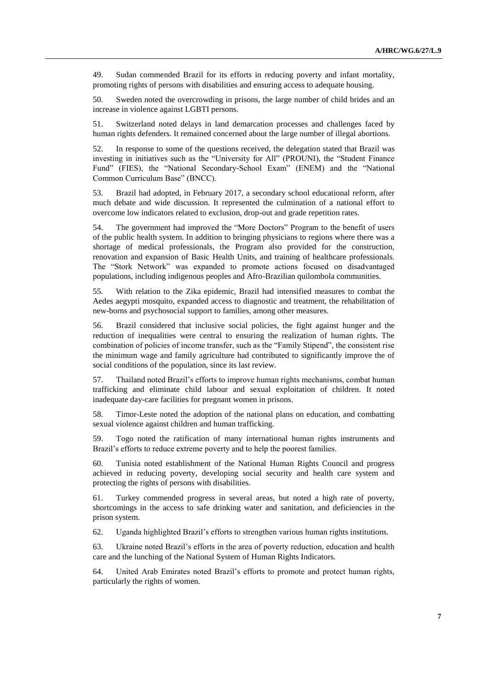49. Sudan commended Brazil for its efforts in reducing poverty and infant mortality, promoting rights of persons with disabilities and ensuring access to adequate housing.

50. Sweden noted the overcrowding in prisons, the large number of child brides and an increase in violence against LGBTI persons.

51. Switzerland noted delays in land demarcation processes and challenges faced by human rights defenders. It remained concerned about the large number of illegal abortions.

52. In response to some of the questions received, the delegation stated that Brazil was investing in initiatives such as the "University for All" (PROUNI), the "Student Finance Fund" (FIES), the "National Secondary-School Exam" (ENEM) and the "National Common Curriculum Base" (BNCC).

53. Brazil had adopted, in February 2017, a secondary school educational reform, after much debate and wide discussion. It represented the culmination of a national effort to overcome low indicators related to exclusion, drop-out and grade repetition rates.

54. The government had improved the "More Doctors" Program to the benefit of users of the public health system. In addition to bringing physicians to regions where there was a shortage of medical professionals, the Program also provided for the construction, renovation and expansion of Basic Health Units, and training of healthcare professionals. The "Stork Network" was expanded to promote actions focused on disadvantaged populations, including indigenous peoples and Afro-Brazilian quilombola communities.

55. With relation to the Zika epidemic, Brazil had intensified measures to combat the Aedes aegypti mosquito, expanded access to diagnostic and treatment, the rehabilitation of new-borns and psychosocial support to families, among other measures.

56. Brazil considered that inclusive social policies, the fight against hunger and the reduction of inequalities were central to ensuring the realization of human rights. The combination of policies of income transfer, such as the "Family Stipend", the consistent rise the minimum wage and family agriculture had contributed to significantly improve the of social conditions of the population, since its last review.

57. Thailand noted Brazil's efforts to improve human rights mechanisms, combat human trafficking and eliminate child labour and sexual exploitation of children. It noted inadequate day-care facilities for pregnant women in prisons.

58. Timor-Leste noted the adoption of the national plans on education, and combatting sexual violence against children and human trafficking.

59. Togo noted the ratification of many international human rights instruments and Brazil's efforts to reduce extreme poverty and to help the poorest families.

60. Tunisia noted establishment of the National Human Rights Council and progress achieved in reducing poverty, developing social security and health care system and protecting the rights of persons with disabilities.

61. Turkey commended progress in several areas, but noted a high rate of poverty, shortcomings in the access to safe drinking water and sanitation, and deficiencies in the prison system.

62. Uganda highlighted Brazil's efforts to strengthen various human rights institutions.

63. Ukraine noted Brazil's efforts in the area of poverty reduction, education and health care and the lunching of the National System of Human Rights Indicators.

64. United Arab Emirates noted Brazil's efforts to promote and protect human rights, particularly the rights of women.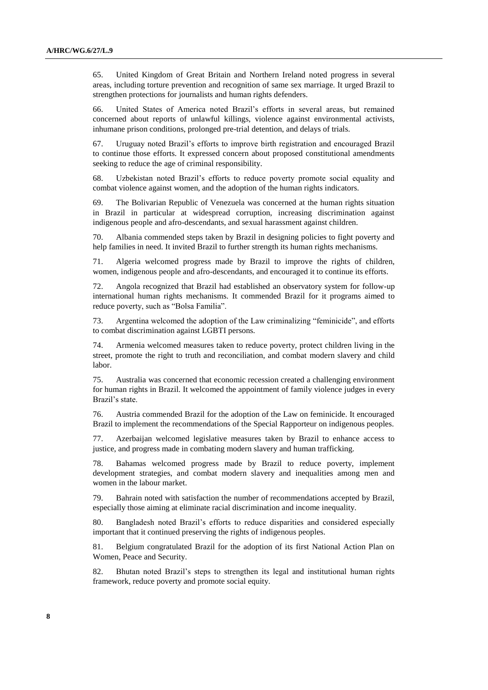65. United Kingdom of Great Britain and Northern Ireland noted progress in several areas, including torture prevention and recognition of same sex marriage. It urged Brazil to strengthen protections for journalists and human rights defenders.

66. United States of America noted Brazil's efforts in several areas, but remained concerned about reports of unlawful killings, violence against environmental activists, inhumane prison conditions, prolonged pre-trial detention, and delays of trials.

67. Uruguay noted Brazil's efforts to improve birth registration and encouraged Brazil to continue those efforts. It expressed concern about proposed constitutional amendments seeking to reduce the age of criminal responsibility.

68. Uzbekistan noted Brazil's efforts to reduce poverty promote social equality and combat violence against women, and the adoption of the human rights indicators.

69. The Bolivarian Republic of Venezuela was concerned at the human rights situation in Brazil in particular at widespread corruption, increasing discrimination against indigenous people and afro-descendants, and sexual harassment against children.

70. Albania commended steps taken by Brazil in designing policies to fight poverty and help families in need. It invited Brazil to further strength its human rights mechanisms.

71. Algeria welcomed progress made by Brazil to improve the rights of children, women, indigenous people and afro-descendants, and encouraged it to continue its efforts.

72. Angola recognized that Brazil had established an observatory system for follow-up international human rights mechanisms. It commended Brazil for it programs aimed to reduce poverty, such as "Bolsa Familia".

73. Argentina welcomed the adoption of the Law criminalizing "feminicide", and efforts to combat discrimination against LGBTI persons.

74. Armenia welcomed measures taken to reduce poverty, protect children living in the street, promote the right to truth and reconciliation, and combat modern slavery and child labor.

75. Australia was concerned that economic recession created a challenging environment for human rights in Brazil. It welcomed the appointment of family violence judges in every Brazil's state.

76. Austria commended Brazil for the adoption of the Law on feminicide. It encouraged Brazil to implement the recommendations of the Special Rapporteur on indigenous peoples.

77. Azerbaijan welcomed legislative measures taken by Brazil to enhance access to justice, and progress made in combating modern slavery and human trafficking.

78. Bahamas welcomed progress made by Brazil to reduce poverty, implement development strategies, and combat modern slavery and inequalities among men and women in the labour market.

79. Bahrain noted with satisfaction the number of recommendations accepted by Brazil, especially those aiming at eliminate racial discrimination and income inequality.

80. Bangladesh noted Brazil's efforts to reduce disparities and considered especially important that it continued preserving the rights of indigenous peoples.

81. Belgium congratulated Brazil for the adoption of its first National Action Plan on Women, Peace and Security.

82. Bhutan noted Brazil's steps to strengthen its legal and institutional human rights framework, reduce poverty and promote social equity.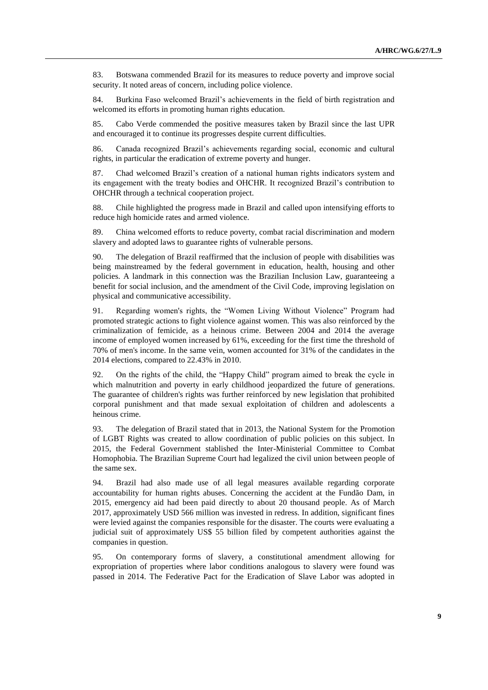83. Botswana commended Brazil for its measures to reduce poverty and improve social security. It noted areas of concern, including police violence.

84. Burkina Faso welcomed Brazil's achievements in the field of birth registration and welcomed its efforts in promoting human rights education.

85. Cabo Verde commended the positive measures taken by Brazil since the last UPR and encouraged it to continue its progresses despite current difficulties.

86. Canada recognized Brazil's achievements regarding social, economic and cultural rights, in particular the eradication of extreme poverty and hunger.

87. Chad welcomed Brazil's creation of a national human rights indicators system and its engagement with the treaty bodies and OHCHR. It recognized Brazil's contribution to OHCHR through a technical cooperation project.

88. Chile highlighted the progress made in Brazil and called upon intensifying efforts to reduce high homicide rates and armed violence.

89. China welcomed efforts to reduce poverty, combat racial discrimination and modern slavery and adopted laws to guarantee rights of vulnerable persons.

90. The delegation of Brazil reaffirmed that the inclusion of people with disabilities was being mainstreamed by the federal government in education, health, housing and other policies. A landmark in this connection was the Brazilian Inclusion Law, guaranteeing a benefit for social inclusion, and the amendment of the Civil Code, improving legislation on physical and communicative accessibility.

91. Regarding women's rights, the "Women Living Without Violence" Program had promoted strategic actions to fight violence against women. This was also reinforced by the criminalization of femicide, as a heinous crime. Between 2004 and 2014 the average income of employed women increased by 61%, exceeding for the first time the threshold of 70% of men's income. In the same vein, women accounted for 31% of the candidates in the 2014 elections, compared to 22.43% in 2010.

92. On the rights of the child, the "Happy Child" program aimed to break the cycle in which malnutrition and poverty in early childhood jeopardized the future of generations. The guarantee of children's rights was further reinforced by new legislation that prohibited corporal punishment and that made sexual exploitation of children and adolescents a heinous crime.

93. The delegation of Brazil stated that in 2013, the National System for the Promotion of LGBT Rights was created to allow coordination of public policies on this subject. In 2015, the Federal Government stablished the Inter-Ministerial Committee to Combat Homophobia. The Brazilian Supreme Court had legalized the civil union between people of the same sex.

94. Brazil had also made use of all legal measures available regarding corporate accountability for human rights abuses. Concerning the accident at the Fundão Dam, in 2015, emergency aid had been paid directly to about 20 thousand people. As of March 2017, approximately USD 566 million was invested in redress. In addition, significant fines were levied against the companies responsible for the disaster. The courts were evaluating a judicial suit of approximately US\$ 55 billion filed by competent authorities against the companies in question.

95. On contemporary forms of slavery, a constitutional amendment allowing for expropriation of properties where labor conditions analogous to slavery were found was passed in 2014. The Federative Pact for the Eradication of Slave Labor was adopted in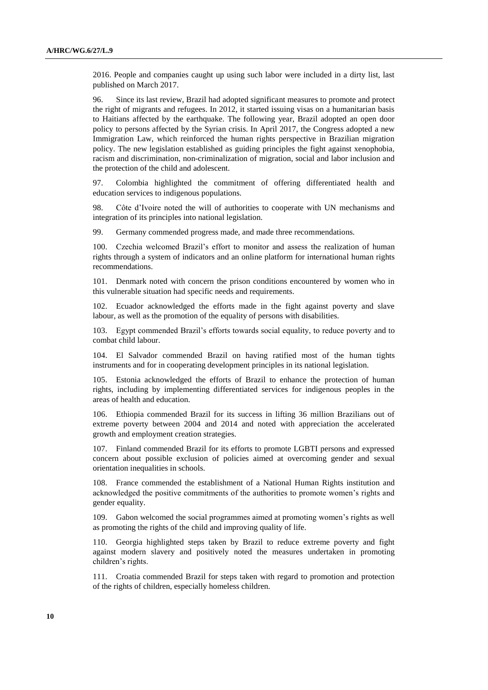2016. People and companies caught up using such labor were included in a dirty list, last published on March 2017.

96. Since its last review, Brazil had adopted significant measures to promote and protect the right of migrants and refugees. In 2012, it started issuing visas on a humanitarian basis to Haitians affected by the earthquake. The following year, Brazil adopted an open door policy to persons affected by the Syrian crisis. In April 2017, the Congress adopted a new Immigration Law, which reinforced the human rights perspective in Brazilian migration policy. The new legislation established as guiding principles the fight against xenophobia, racism and discrimination, non-criminalization of migration, social and labor inclusion and the protection of the child and adolescent.

97. Colombia highlighted the commitment of offering differentiated health and education services to indigenous populations.

98. Côte d'Ivoire noted the will of authorities to cooperate with UN mechanisms and integration of its principles into national legislation.

99. Germany commended progress made, and made three recommendations.

100. Czechia welcomed Brazil's effort to monitor and assess the realization of human rights through a system of indicators and an online platform for international human rights recommendations.

101. Denmark noted with concern the prison conditions encountered by women who in this vulnerable situation had specific needs and requirements.

Ecuador acknowledged the efforts made in the fight against poverty and slave labour, as well as the promotion of the equality of persons with disabilities.

103. Egypt commended Brazil's efforts towards social equality, to reduce poverty and to combat child labour.

104. El Salvador commended Brazil on having ratified most of the human tights instruments and for in cooperating development principles in its national legislation.

105. Estonia acknowledged the efforts of Brazil to enhance the protection of human rights, including by implementing differentiated services for indigenous peoples in the areas of health and education.

106. Ethiopia commended Brazil for its success in lifting 36 million Brazilians out of extreme poverty between 2004 and 2014 and noted with appreciation the accelerated growth and employment creation strategies.

107. Finland commended Brazil for its efforts to promote LGBTI persons and expressed concern about possible exclusion of policies aimed at overcoming gender and sexual orientation inequalities in schools.

108. France commended the establishment of a National Human Rights institution and acknowledged the positive commitments of the authorities to promote women's rights and gender equality.

109. Gabon welcomed the social programmes aimed at promoting women's rights as well as promoting the rights of the child and improving quality of life.

110. Georgia highlighted steps taken by Brazil to reduce extreme poverty and fight against modern slavery and positively noted the measures undertaken in promoting children's rights.

111. Croatia commended Brazil for steps taken with regard to promotion and protection of the rights of children, especially homeless children.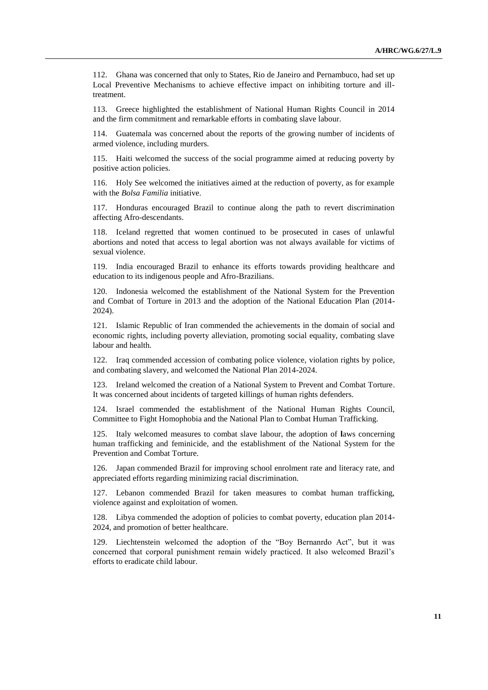112. Ghana was concerned that only to States, Rio de Janeiro and Pernambuco, had set up Local Preventive Mechanisms to achieve effective impact on inhibiting torture and illtreatment.

113. Greece highlighted the establishment of National Human Rights Council in 2014 and the firm commitment and remarkable efforts in combating slave labour.

114. Guatemala was concerned about the reports of the growing number of incidents of armed violence, including murders.

115. Haiti welcomed the success of the social programme aimed at reducing poverty by positive action policies.

116. Holy See welcomed the initiatives aimed at the reduction of poverty, as for example with the *Bolsa Familia* initiative.

117. Honduras encouraged Brazil to continue along the path to revert discrimination affecting Afro-descendants.

118. Iceland regretted that women continued to be prosecuted in cases of unlawful abortions and noted that access to legal abortion was not always available for victims of sexual violence.

119. India encouraged Brazil to enhance its efforts towards providing healthcare and education to its indigenous people and Afro-Brazilians.

120. Indonesia welcomed the establishment of the National System for the Prevention and Combat of Torture in 2013 and the adoption of the National Education Plan (2014- 2024).

121. Islamic Republic of Iran commended the achievements in the domain of social and economic rights, including poverty alleviation, promoting social equality, combating slave labour and health.

122. Iraq commended accession of combating police violence, violation rights by police, and combating slavery, and welcomed the National Plan 2014-2024.

123. Ireland welcomed the creation of a National System to Prevent and Combat Torture. It was concerned about incidents of targeted killings of human rights defenders.

124. Israel commended the establishment of the National Human Rights Council, Committee to Fight Homophobia and the National Plan to Combat Human Trafficking.

125. Italy welcomed measures to combat slave labour, the adoption of **l**aws concerning human trafficking and feminicide, and the establishment of the National System for the Prevention and Combat Torture.

126. Japan commended Brazil for improving school enrolment rate and literacy rate, and appreciated efforts regarding minimizing racial discrimination.

127. Lebanon commended Brazil for taken measures to combat human trafficking, violence against and exploitation of women.

128. Libya commended the adoption of policies to combat poverty, education plan 2014- 2024, and promotion of better healthcare.

129. Liechtenstein welcomed the adoption of the "Boy Bernanrdo Act", but it was concerned that corporal punishment remain widely practiced. It also welcomed Brazil's efforts to eradicate child labour.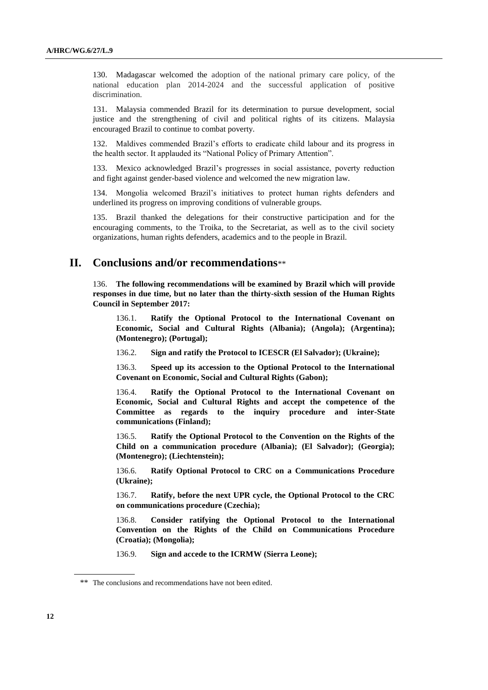130. Madagascar welcomed the adoption of the national primary care policy, of the national education plan 2014-2024 and the successful application of positive discrimination.

131. Malaysia commended Brazil for its determination to pursue development, social justice and the strengthening of civil and political rights of its citizens. Malaysia encouraged Brazil to continue to combat poverty.

132. Maldives commended Brazil's efforts to eradicate child labour and its progress in the health sector. It applauded its "National Policy of Primary Attention".

133. Mexico acknowledged Brazil's progresses in social assistance, poverty reduction and fight against gender-based violence and welcomed the new migration law.

134. Mongolia welcomed Brazil's initiatives to protect human rights defenders and underlined its progress on improving conditions of vulnerable groups.

135. Brazil thanked the delegations for their constructive participation and for the encouraging comments, to the Troika, to the Secretariat, as well as to the civil society organizations, human rights defenders, academics and to the people in Brazil.

### **II. Conclusions and/or recommendations**\*\*

136. **The following recommendations will be examined by Brazil which will provide responses in due time, but no later than the thirty-sixth session of the Human Rights Council in September 2017:**

136.1. **Ratify the Optional Protocol to the International Covenant on Economic, Social and Cultural Rights (Albania); (Angola); (Argentina); (Montenegro); (Portugal);**

136.2. **Sign and ratify the Protocol to ICESCR (El Salvador); (Ukraine);**

136.3. **Speed up its accession to the Optional Protocol to the International Covenant on Economic, Social and Cultural Rights (Gabon);**

136.4. **Ratify the Optional Protocol to the International Covenant on Economic, Social and Cultural Rights and accept the competence of the Committee as regards to the inquiry procedure and inter-State communications (Finland);**

136.5. **Ratify the Optional Protocol to the Convention on the Rights of the Child on a communication procedure (Albania); (El Salvador); (Georgia); (Montenegro); (Liechtenstein);**

136.6. **Ratify Optional Protocol to CRC on a Communications Procedure (Ukraine);**

136.7. **Ratify, before the next UPR cycle, the Optional Protocol to the CRC on communications procedure (Czechia);**

136.8. **Consider ratifying the Optional Protocol to the International Convention on the Rights of the Child on Communications Procedure (Croatia); (Mongolia);**

136.9. **Sign and accede to the ICRMW (Sierra Leone);**

<sup>\*\*</sup> The conclusions and recommendations have not been edited.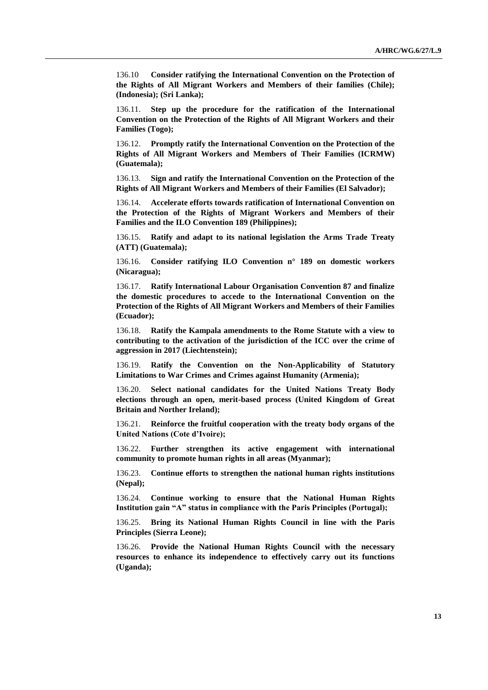136.10 **Consider ratifying the International Convention on the Protection of the Rights of All Migrant Workers and Members of their families (Chile); (Indonesia); (Sri Lanka);**

136.11. **Step up the procedure for the ratification of the International Convention on the Protection of the Rights of All Migrant Workers and their Families (Togo);**

136.12. **Promptly ratify the International Convention on the Protection of the Rights of All Migrant Workers and Members of Their Families (ICRMW) (Guatemala);**

136.13. **Sign and ratify the International Convention on the Protection of the Rights of All Migrant Workers and Members of their Families (El Salvador);**

136.14. **Accelerate efforts towards ratification of International Convention on the Protection of the Rights of Migrant Workers and Members of their Families and the ILO Convention 189 (Philippines);**

136.15. **Ratify and adapt to its national legislation the Arms Trade Treaty (ATT) (Guatemala);**

136.16. **Consider ratifying ILO Convention n° 189 on domestic workers (Nicaragua);**

136.17. **Ratify International Labour Organisation Convention 87 and finalize the domestic procedures to accede to the International Convention on the Protection of the Rights of All Migrant Workers and Members of their Families (Ecuador);**

136.18. **Ratify the Kampala amendments to the Rome Statute with a view to contributing to the activation of the jurisdiction of the ICC over the crime of aggression in 2017 (Liechtenstein);**

136.19. **Ratify the Convention on the Non-Applicability of Statutory Limitations to War Crimes and Crimes against Humanity (Armenia);**

136.20. **Select national candidates for the United Nations Treaty Body elections through an open, merit-based process (United Kingdom of Great Britain and Norther Ireland);**

136.21. **Reinforce the fruitful cooperation with the treaty body organs of the United Nations (Cote d'Ivoire);**

136.22. **Further strengthen its active engagement with international community to promote human rights in all areas (Myanmar);**

136.23. **Continue efforts to strengthen the national human rights institutions (Nepal);**

136.24. **Continue working to ensure that the National Human Rights Institution gain "A" status in compliance with the Paris Principles (Portugal);**

136.25. **Bring its National Human Rights Council in line with the Paris Principles (Sierra Leone);**

136.26. **Provide the National Human Rights Council with the necessary resources to enhance its independence to effectively carry out its functions (Uganda);**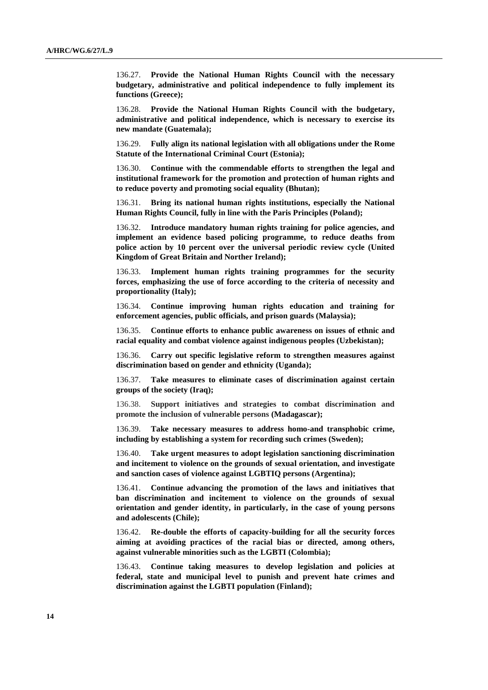136.27. **Provide the National Human Rights Council with the necessary budgetary, administrative and political independence to fully implement its functions (Greece);**

136.28. **Provide the National Human Rights Council with the budgetary, administrative and political independence, which is necessary to exercise its new mandate (Guatemala);**

136.29. **Fully align its national legislation with all obligations under the Rome Statute of the International Criminal Court (Estonia);**

136.30. **Continue with the commendable efforts to strengthen the legal and institutional framework for the promotion and protection of human rights and to reduce poverty and promoting social equality (Bhutan);**

136.31. **Bring its national human rights institutions, especially the National Human Rights Council, fully in line with the Paris Principles (Poland);**

136.32. **Introduce mandatory human rights training for police agencies, and implement an evidence based policing programme, to reduce deaths from police action by 10 percent over the universal periodic review cycle (United Kingdom of Great Britain and Norther Ireland);**

136.33. **Implement human rights training programmes for the security forces, emphasizing the use of force according to the criteria of necessity and proportionality (Italy);**

136.34. **Continue improving human rights education and training for enforcement agencies, public officials, and prison guards (Malaysia);**

136.35. **Continue efforts to enhance public awareness on issues of ethnic and racial equality and combat violence against indigenous peoples (Uzbekistan);**

136.36. **Carry out specific legislative reform to strengthen measures against discrimination based on gender and ethnicity (Uganda);**

136.37. **Take measures to eliminate cases of discrimination against certain groups of the society (Iraq);**

136.38. **Support initiatives and strategies to combat discrimination and promote the inclusion of vulnerable persons (Madagascar);**

136.39. **Take necessary measures to address homo-and transphobic crime, including by establishing a system for recording such crimes (Sweden);**

136.40. **Take urgent measures to adopt legislation sanctioning discrimination and incitement to violence on the grounds of sexual orientation, and investigate and sanction cases of violence against LGBTIQ persons (Argentina);**

136.41. **Continue advancing the promotion of the laws and initiatives that ban discrimination and incitement to violence on the grounds of sexual orientation and gender identity, in particularly, in the case of young persons and adolescents (Chile);**

136.42. **Re-double the efforts of capacity-building for all the security forces aiming at avoiding practices of the racial bias or directed, among others, against vulnerable minorities such as the LGBTI (Colombia);**

136.43. **Continue taking measures to develop legislation and policies at federal, state and municipal level to punish and prevent hate crimes and discrimination against the LGBTI population (Finland);**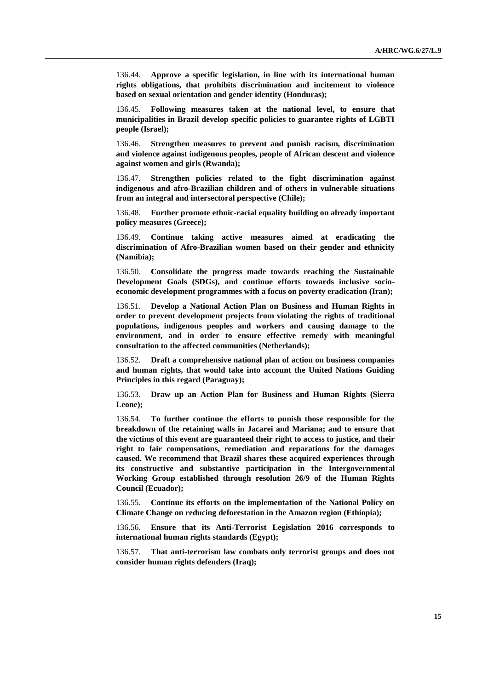136.44. **Approve a specific legislation, in line with its international human rights obligations, that prohibits discrimination and incitement to violence based on sexual orientation and gender identity (Honduras);**

136.45. **Following measures taken at the national level, to ensure that municipalities in Brazil develop specific policies to guarantee rights of LGBTI people (Israel);**

136.46. **Strengthen measures to prevent and punish racism, discrimination and violence against indigenous peoples, people of African descent and violence against women and girls (Rwanda);**

136.47. **Strengthen policies related to the fight discrimination against indigenous and afro-Brazilian children and of others in vulnerable situations from an integral and intersectoral perspective (Chile);**

136.48. **Further promote ethnic-racial equality building on already important policy measures (Greece);**

136.49. **Continue taking active measures aimed at eradicating the discrimination of Afro-Brazilian women based on their gender and ethnicity (Namibia);**

136.50. **Consolidate the progress made towards reaching the Sustainable Development Goals (SDGs), and continue efforts towards inclusive socioeconomic development programmes with a focus on poverty eradication (Iran);**

136.51. **Develop a National Action Plan on Business and Human Rights in order to prevent development projects from violating the rights of traditional populations, indigenous peoples and workers and causing damage to the environment, and in order to ensure effective remedy with meaningful consultation to the affected communities (Netherlands);**

136.52. **Draft a comprehensive national plan of action on business companies and human rights, that would take into account the United Nations Guiding Principles in this regard (Paraguay);**

136.53. **Draw up an Action Plan for Business and Human Rights (Sierra Leone);**

136.54. **To further continue the efforts to punish those responsible for the breakdown of the retaining walls in Jacarei and Mariana; and to ensure that the victims of this event are guaranteed their right to access to justice, and their right to fair compensations, remediation and reparations for the damages caused. We recommend that Brazil shares these acquired experiences through its constructive and substantive participation in the Intergovernmental Working Group established through resolution 26/9 of the Human Rights Council (Ecuador);**

136.55. **Continue its efforts on the implementation of the National Policy on Climate Change on reducing deforestation in the Amazon region (Ethiopia);**

136.56. **Ensure that its Anti-Terrorist Legislation 2016 corresponds to international human rights standards (Egypt);**

136.57. **That anti-terrorism law combats only terrorist groups and does not consider human rights defenders (Iraq);**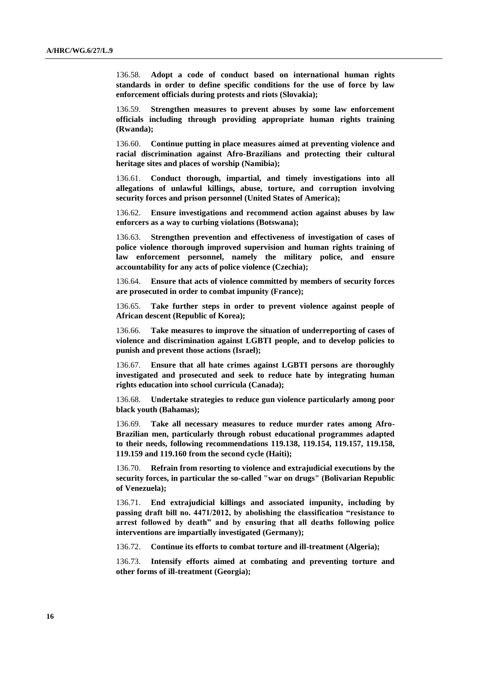136.58. **Adopt a code of conduct based on international human rights standards in order to define specific conditions for the use of force by law enforcement officials during protests and riots (Slovakia);**

136.59. **Strengthen measures to prevent abuses by some law enforcement officials including through providing appropriate human rights training (Rwanda);**

136.60. **Continue putting in place measures aimed at preventing violence and racial discrimination against Afro-Brazilians and protecting their cultural heritage sites and places of worship (Namibia);**

136.61. **Conduct thorough, impartial, and timely investigations into all allegations of unlawful killings, abuse, torture, and corruption involving security forces and prison personnel (United States of America);**

136.62. **Ensure investigations and recommend action against abuses by law enforcers as a way to curbing violations (Botswana);**

136.63. **Strengthen prevention and effectiveness of investigation of cases of police violence thorough improved supervision and human rights training of law enforcement personnel, namely the military police, and ensure accountability for any acts of police violence (Czechia);**

136.64. **Ensure that acts of violence committed by members of security forces are prosecuted in order to combat impunity (France);**

136.65. **Take further steps in order to prevent violence against people of African descent (Republic of Korea);**

136.66. **Take measures to improve the situation of underreporting of cases of violence and discrimination against LGBTI people, and to develop policies to punish and prevent those actions (Israel);**

136.67. **Ensure that all hate crimes against LGBTI persons are thoroughly investigated and prosecuted and seek to reduce hate by integrating human rights education into school curricula (Canada);**

136.68. **Undertake strategies to reduce gun violence particularly among poor black youth (Bahamas);**

136.69. **Take all necessary measures to reduce murder rates among Afro-Brazilian men, particularly through robust educational programmes adapted to their needs, following recommendations 119.138, 119.154, 119.157, 119.158, 119.159 and 119.160 from the second cycle (Haiti);**

136.70. **Refrain from resorting to violence and extrajudicial executions by the security forces, in particular the so-called "war on drugs" (Bolivarian Republic of Venezuela);**

136.71. **End extrajudicial killings and associated impunity, including by passing draft bill no. 4471/2012, by abolishing the classification "resistance to arrest followed by death" and by ensuring that all deaths following police interventions are impartially investigated (Germany);**

136.72. **Continue its efforts to combat torture and ill-treatment (Algeria);**

136.73. **Intensify efforts aimed at combating and preventing torture and other forms of ill-treatment (Georgia);**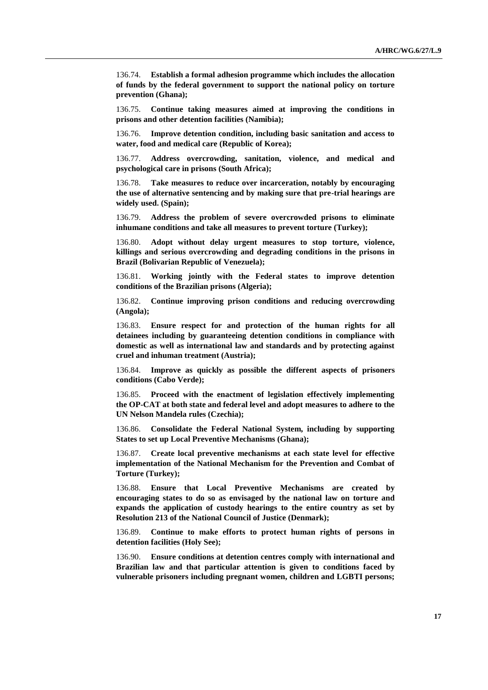136.74. **Establish a formal adhesion programme which includes the allocation of funds by the federal government to support the national policy on torture prevention (Ghana);**

136.75. **Continue taking measures aimed at improving the conditions in prisons and other detention facilities (Namibia);**

136.76. **Improve detention condition, including basic sanitation and access to water, food and medical care (Republic of Korea);**

136.77. **Address overcrowding, sanitation, violence, and medical and psychological care in prisons (South Africa);**

136.78. **Take measures to reduce over incarceration, notably by encouraging the use of alternative sentencing and by making sure that pre-trial hearings are widely used. (Spain);**

136.79. **Address the problem of severe overcrowded prisons to eliminate inhumane conditions and take all measures to prevent torture (Turkey);**

136.80. **Adopt without delay urgent measures to stop torture, violence, killings and serious overcrowding and degrading conditions in the prisons in Brazil (Bolivarian Republic of Venezuela);**

136.81. **Working jointly with the Federal states to improve detention conditions of the Brazilian prisons (Algeria);**

136.82. **Continue improving prison conditions and reducing overcrowding (Angola);**

136.83. **Ensure respect for and protection of the human rights for all detainees including by guaranteeing detention conditions in compliance with domestic as well as international law and standards and by protecting against cruel and inhuman treatment (Austria);**

136.84. **Improve as quickly as possible the different aspects of prisoners conditions (Cabo Verde);**

136.85. **Proceed with the enactment of legislation effectively implementing the OP-CAT at both state and federal level and adopt measures to adhere to the UN Nelson Mandela rules (Czechia);**

136.86. **Consolidate the Federal National System, including by supporting States to set up Local Preventive Mechanisms (Ghana);**

136.87. **Create local preventive mechanisms at each state level for effective implementation of the National Mechanism for the Prevention and Combat of Torture (Turkey);**

136.88. **Ensure that Local Preventive Mechanisms are created by encouraging states to do so as envisaged by the national law on torture and expands the application of custody hearings to the entire country as set by Resolution 213 of the National Council of Justice (Denmark);**

136.89. **Continue to make efforts to protect human rights of persons in detention facilities (Holy See);**

136.90. **Ensure conditions at detention centres comply with international and Brazilian law and that particular attention is given to conditions faced by vulnerable prisoners including pregnant women, children and LGBTI persons;**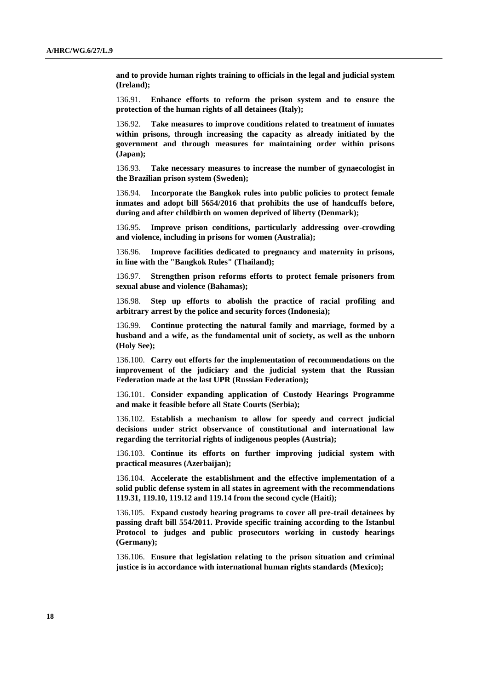**and to provide human rights training to officials in the legal and judicial system (Ireland);**

136.91. **Enhance efforts to reform the prison system and to ensure the protection of the human rights of all detainees (Italy);**

136.92. **Take measures to improve conditions related to treatment of inmates within prisons, through increasing the capacity as already initiated by the government and through measures for maintaining order within prisons (Japan);**

136.93. **Take necessary measures to increase the number of gynaecologist in the Brazilian prison system (Sweden);**

136.94. **Incorporate the Bangkok rules into public policies to protect female inmates and adopt bill 5654/2016 that prohibits the use of handcuffs before, during and after childbirth on women deprived of liberty (Denmark);**

136.95. **Improve prison conditions, particularly addressing over-crowding and violence, including in prisons for women (Australia);**

136.96. **Improve facilities dedicated to pregnancy and maternity in prisons, in line with the "Bangkok Rules" (Thailand);**

136.97. **Strengthen prison reforms efforts to protect female prisoners from sexual abuse and violence (Bahamas);**

136.98. **Step up efforts to abolish the practice of racial profiling and arbitrary arrest by the police and security forces (Indonesia);**

136.99. **Continue protecting the natural family and marriage, formed by a husband and a wife, as the fundamental unit of society, as well as the unborn (Holy See);**

136.100. **Carry out efforts for the implementation of recommendations on the improvement of the judiciary and the judicial system that the Russian Federation made at the last UPR (Russian Federation);**

136.101. **Consider expanding application of Custody Hearings Programme and make it feasible before all State Courts (Serbia);**

136.102. **Establish a mechanism to allow for speedy and correct judicial decisions under strict observance of constitutional and international law regarding the territorial rights of indigenous peoples (Austria);**

136.103. **Continue its efforts on further improving judicial system with practical measures (Azerbaijan);**

136.104. **Accelerate the establishment and the effective implementation of a solid public defense system in all states in agreement with the recommendations 119.31, 119.10, 119.12 and 119.14 from the second cycle (Haiti);**

136.105. **Expand custody hearing programs to cover all pre-trail detainees by passing draft bill 554/2011. Provide specific training according to the Istanbul Protocol to judges and public prosecutors working in custody hearings (Germany);**

136.106. **Ensure that legislation relating to the prison situation and criminal justice is in accordance with international human rights standards (Mexico);**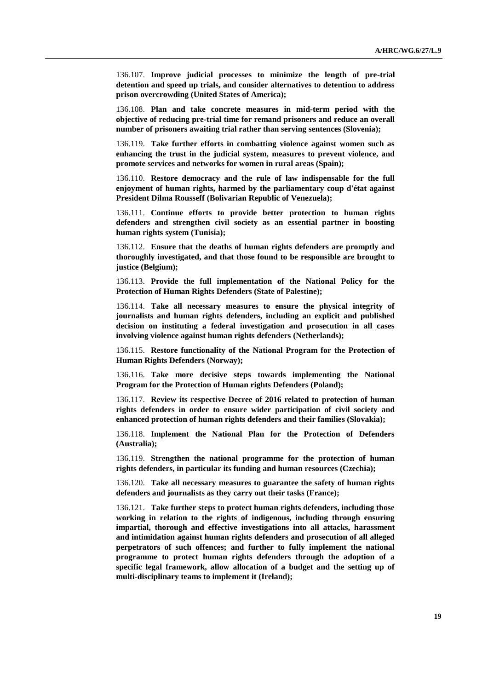136.107. **Improve judicial processes to minimize the length of pre-trial detention and speed up trials, and consider alternatives to detention to address prison overcrowding (United States of America);**

136.108. **Plan and take concrete measures in mid-term period with the objective of reducing pre-trial time for remand prisoners and reduce an overall number of prisoners awaiting trial rather than serving sentences (Slovenia);**

136.119. **Take further efforts in combatting violence against women such as enhancing the trust in the judicial system, measures to prevent violence, and promote services and networks for women in rural areas (Spain);**

136.110. **Restore democracy and the rule of law indispensable for the full enjoyment of human rights, harmed by the parliamentary coup d'état against President Dilma Rousseff (Bolivarian Republic of Venezuela);**

136.111. **Continue efforts to provide better protection to human rights defenders and strengthen civil society as an essential partner in boosting human rights system (Tunisia);**

136.112. **Ensure that the deaths of human rights defenders are promptly and thoroughly investigated, and that those found to be responsible are brought to justice (Belgium);**

136.113. **Provide the full implementation of the National Policy for the Protection of Human Rights Defenders (State of Palestine);**

136.114. **Take all necessary measures to ensure the physical integrity of journalists and human rights defenders, including an explicit and published decision on instituting a federal investigation and prosecution in all cases involving violence against human rights defenders (Netherlands);**

136.115. **Restore functionality of the National Program for the Protection of Human Rights Defenders (Norway);**

136.116. **Take more decisive steps towards implementing the National Program for the Protection of Human rights Defenders (Poland);**

136.117. **Review its respective Decree of 2016 related to protection of human rights defenders in order to ensure wider participation of civil society and enhanced protection of human rights defenders and their families (Slovakia);**

136.118. **Implement the National Plan for the Protection of Defenders (Australia);**

136.119. **Strengthen the national programme for the protection of human rights defenders, in particular its funding and human resources (Czechia);**

136.120. **Take all necessary measures to guarantee the safety of human rights defenders and journalists as they carry out their tasks (France);**

136.121. **Take further steps to protect human rights defenders, including those working in relation to the rights of indigenous, including through ensuring impartial, thorough and effective investigations into all attacks, harassment and intimidation against human rights defenders and prosecution of all alleged perpetrators of such offences; and further to fully implement the national programme to protect human rights defenders through the adoption of a specific legal framework, allow allocation of a budget and the setting up of multi-disciplinary teams to implement it (Ireland);**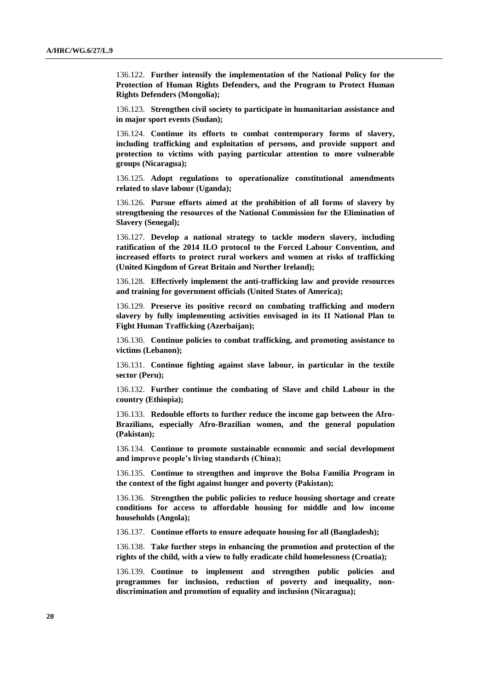136.122. **Further intensify the implementation of the National Policy for the Protection of Human Rights Defenders, and the Program to Protect Human Rights Defenders (Mongolia);**

136.123. **Strengthen civil society to participate in humanitarian assistance and in major sport events (Sudan);**

136.124. **Continue its efforts to combat contemporary forms of slavery, including trafficking and exploitation of persons, and provide support and protection to victims with paying particular attention to more vulnerable groups (Nicaragua);**

136.125. **Adopt regulations to operationalize constitutional amendments related to slave labour (Uganda);**

136.126. **Pursue efforts aimed at the prohibition of all forms of slavery by strengthening the resources of the National Commission for the Elimination of Slavery (Senegal);**

136.127. **Develop a national strategy to tackle modern slavery, including ratification of the 2014 ILO protocol to the Forced Labour Convention, and increased efforts to protect rural workers and women at risks of trafficking (United Kingdom of Great Britain and Norther Ireland);**

136.128. **Effectively implement the anti-trafficking law and provide resources and training for government officials (United States of America);**

136.129. **Preserve its positive record on combating trafficking and modern slavery by fully implementing activities envisaged in its II National Plan to Fight Human Trafficking (Azerbaijan);**

136.130. **Continue policies to combat trafficking, and promoting assistance to victims (Lebanon);**

136.131. **Continue fighting against slave labour, in particular in the textile sector (Peru);**

136.132. **Further continue the combating of Slave and child Labour in the country (Ethiopia);**

136.133. **Redouble efforts to further reduce the income gap between the Afro-Brazilians, especially Afro-Brazilian women, and the general population (Pakistan);**

136.134. **Continue to promote sustainable economic and social development and improve people's living standards (China);**

136.135. **Continue to strengthen and improve the Bolsa Familia Program in the context of the fight against hunger and poverty (Pakistan);**

136.136. **Strengthen the public policies to reduce housing shortage and create conditions for access to affordable housing for middle and low income households (Angola);**

136.137. **Continue efforts to ensure adequate housing for all (Bangladesh);**

136.138. **Take further steps in enhancing the promotion and protection of the rights of the child, with a view to fully eradicate child homelessness (Croatia);**

136.139. **Continue to implement and strengthen public policies and programmes for inclusion, reduction of poverty and inequality, nondiscrimination and promotion of equality and inclusion (Nicaragua);**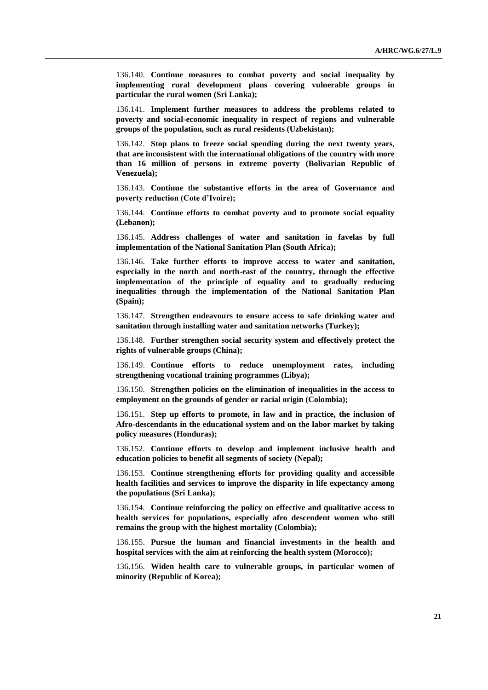136.140. **Continue measures to combat poverty and social inequality by implementing rural development plans covering vulnerable groups in particular the rural women (Sri Lanka);**

136.141. **Implement further measures to address the problems related to poverty and social-economic inequality in respect of regions and vulnerable groups of the population, such as rural residents (Uzbekistan);**

136.142. **Stop plans to freeze social spending during the next twenty years, that are inconsistent with the international obligations of the country with more than 16 million of persons in extreme poverty (Bolivarian Republic of Venezuela);**

136.143. **Continue the substantive efforts in the area of Governance and poverty reduction (Cote d'Ivoire);**

136.144. **Continue efforts to combat poverty and to promote social equality (Lebanon);**

136.145. **Address challenges of water and sanitation in favelas by full implementation of the National Sanitation Plan (South Africa);**

136.146. **Take further efforts to improve access to water and sanitation, especially in the north and north-east of the country, through the effective implementation of the principle of equality and to gradually reducing inequalities through the implementation of the National Sanitation Plan (Spain);**

136.147. **Strengthen endeavours to ensure access to safe drinking water and sanitation through installing water and sanitation networks (Turkey);**

136.148. **Further strengthen social security system and effectively protect the rights of vulnerable groups (China);**

136.149. **Continue efforts to reduce unemployment rates, including strengthening vocational training programmes (Libya);**

136.150. **Strengthen policies on the elimination of inequalities in the access to employment on the grounds of gender or racial origin (Colombia);**

136.151. **Step up efforts to promote, in law and in practice, the inclusion of Afro-descendants in the educational system and on the labor market by taking policy measures (Honduras);**

136.152. **Continue efforts to develop and implement inclusive health and education policies to benefit all segments of society (Nepal);**

136.153. **Continue strengthening efforts for providing quality and accessible health facilities and services to improve the disparity in life expectancy among the populations (Sri Lanka);**

136.154. **Continue reinforcing the policy on effective and qualitative access to health services for populations, especially afro descendent women who still remains the group with the highest mortality (Colombia);**

136.155. **Pursue the human and financial investments in the health and hospital services with the aim at reinforcing the health system (Morocco);**

136.156. **Widen health care to vulnerable groups, in particular women of minority (Republic of Korea);**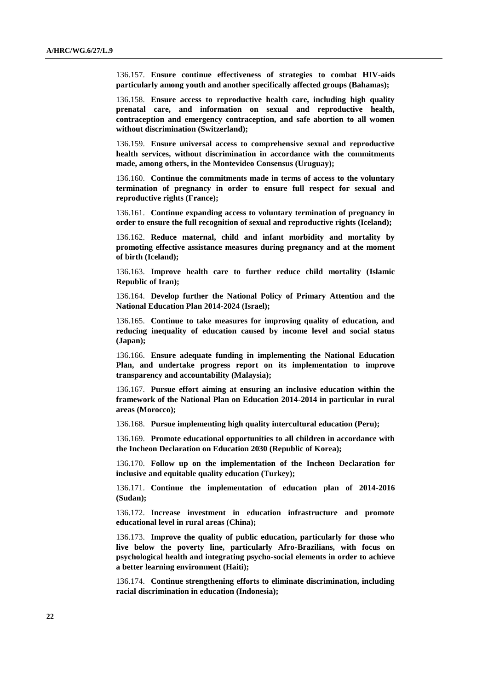136.157. **Ensure continue effectiveness of strategies to combat HIV-aids particularly among youth and another specifically affected groups (Bahamas);**

136.158. **Ensure access to reproductive health care, including high quality prenatal care, and information on sexual and reproductive health, contraception and emergency contraception, and safe abortion to all women without discrimination (Switzerland);**

136.159. **Ensure universal access to comprehensive sexual and reproductive health services, without discrimination in accordance with the commitments made, among others, in the Montevideo Consensus (Uruguay);**

136.160. **Continue the commitments made in terms of access to the voluntary termination of pregnancy in order to ensure full respect for sexual and reproductive rights (France);**

136.161. **Continue expanding access to voluntary termination of pregnancy in order to ensure the full recognition of sexual and reproductive rights (Iceland);**

136.162. **Reduce maternal, child and infant morbidity and mortality by promoting effective assistance measures during pregnancy and at the moment of birth (Iceland);**

136.163. **Improve health care to further reduce child mortality (Islamic Republic of Iran);**

136.164. **Develop further the National Policy of Primary Attention and the National Education Plan 2014-2024 (Israel);**

136.165. **Continue to take measures for improving quality of education, and reducing inequality of education caused by income level and social status (Japan);**

136.166. **Ensure adequate funding in implementing the National Education Plan, and undertake progress report on its implementation to improve transparency and accountability (Malaysia);**

136.167. **Pursue effort aiming at ensuring an inclusive education within the framework of the National Plan on Education 2014-2014 in particular in rural areas (Morocco);**

136.168. **Pursue implementing high quality intercultural education (Peru);**

136.169. **Promote educational opportunities to all children in accordance with the Incheon Declaration on Education 2030 (Republic of Korea);**

136.170. **Follow up on the implementation of the Incheon Declaration for inclusive and equitable quality education (Turkey);**

136.171. **Continue the implementation of education plan of 2014-2016 (Sudan);**

136.172. **Increase investment in education infrastructure and promote educational level in rural areas (China);**

136.173. **Improve the quality of public education, particularly for those who live below the poverty line, particularly Afro-Brazilians, with focus on psychological health and integrating psycho-social elements in order to achieve a better learning environment (Haiti);**

136.174. **Continue strengthening efforts to eliminate discrimination, including racial discrimination in education (Indonesia);**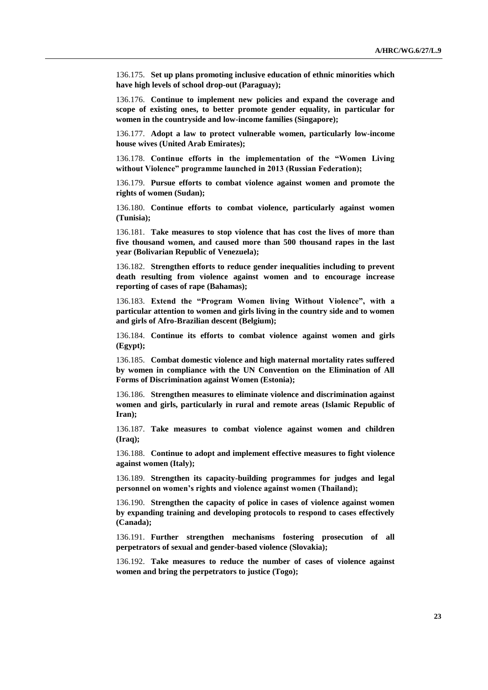136.175. **Set up plans promoting inclusive education of ethnic minorities which have high levels of school drop-out (Paraguay);**

136.176. **Continue to implement new policies and expand the coverage and scope of existing ones, to better promote gender equality, in particular for women in the countryside and low-income families (Singapore);**

136.177. **Adopt a law to protect vulnerable women, particularly low-income house wives (United Arab Emirates);**

136.178. **Continue efforts in the implementation of the "Women Living without Violence" programme launched in 2013 (Russian Federation);**

136.179. **Pursue efforts to combat violence against women and promote the rights of women (Sudan);**

136.180. **Continue efforts to combat violence, particularly against women (Tunisia);**

136.181. **Take measures to stop violence that has cost the lives of more than five thousand women, and caused more than 500 thousand rapes in the last year (Bolivarian Republic of Venezuela);**

136.182. **Strengthen efforts to reduce gender inequalities including to prevent death resulting from violence against women and to encourage increase reporting of cases of rape (Bahamas);**

136.183. **Extend the "Program Women living Without Violence", with a particular attention to women and girls living in the country side and to women and girls of Afro-Brazilian descent (Belgium);**

136.184. **Continue its efforts to combat violence against women and girls (Egypt);**

136.185. **Combat domestic violence and high maternal mortality rates suffered by women in compliance with the UN Convention on the Elimination of All Forms of Discrimination against Women (Estonia);**

136.186. **Strengthen measures to eliminate violence and discrimination against women and girls, particularly in rural and remote areas (Islamic Republic of Iran);**

136.187. **Take measures to combat violence against women and children (Iraq);**

136.188. **Continue to adopt and implement effective measures to fight violence against women (Italy);**

136.189. **Strengthen its capacity-building programmes for judges and legal personnel on women's rights and violence against women (Thailand);**

136.190. **Strengthen the capacity of police in cases of violence against women by expanding training and developing protocols to respond to cases effectively (Canada);**

136.191. **Further strengthen mechanisms fostering prosecution of all perpetrators of sexual and gender-based violence (Slovakia);**

136.192. **Take measures to reduce the number of cases of violence against women and bring the perpetrators to justice (Togo);**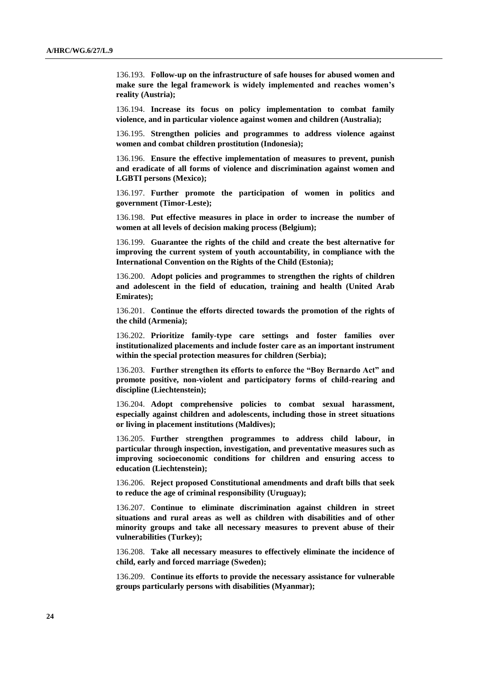136.193. **Follow-up on the infrastructure of safe houses for abused women and make sure the legal framework is widely implemented and reaches women's reality (Austria);**

136.194. **Increase its focus on policy implementation to combat family violence, and in particular violence against women and children (Australia);**

136.195. **Strengthen policies and programmes to address violence against women and combat children prostitution (Indonesia);**

136.196. **Ensure the effective implementation of measures to prevent, punish and eradicate of all forms of violence and discrimination against women and LGBTI persons (Mexico);**

136.197. **Further promote the participation of women in politics and government (Timor-Leste);**

136.198. **Put effective measures in place in order to increase the number of women at all levels of decision making process (Belgium);**

136.199. **Guarantee the rights of the child and create the best alternative for improving the current system of youth accountability, in compliance with the International Convention on the Rights of the Child (Estonia);**

136.200. **Adopt policies and programmes to strengthen the rights of children and adolescent in the field of education, training and health (United Arab Emirates);**

136.201. **Continue the efforts directed towards the promotion of the rights of the child (Armenia);**

136.202. **Prioritize family-type care settings and foster families over institutionalized placements and include foster care as an important instrument within the special protection measures for children (Serbia);**

136.203. **Further strengthen its efforts to enforce the "Boy Bernardo Act" and promote positive, non-violent and participatory forms of child-rearing and discipline (Liechtenstein);**

136.204. **Adopt comprehensive policies to combat sexual harassment, especially against children and adolescents, including those in street situations or living in placement institutions (Maldives);**

136.205. **Further strengthen programmes to address child labour, in particular through inspection, investigation, and preventative measures such as improving socioeconomic conditions for children and ensuring access to education (Liechtenstein);**

136.206. **Reject proposed Constitutional amendments and draft bills that seek to reduce the age of criminal responsibility (Uruguay);**

136.207. **Continue to eliminate discrimination against children in street situations and rural areas as well as children with disabilities and of other minority groups and take all necessary measures to prevent abuse of their vulnerabilities (Turkey);**

136.208. **Take all necessary measures to effectively eliminate the incidence of child, early and forced marriage (Sweden);**

136.209. **Continue its efforts to provide the necessary assistance for vulnerable groups particularly persons with disabilities (Myanmar);**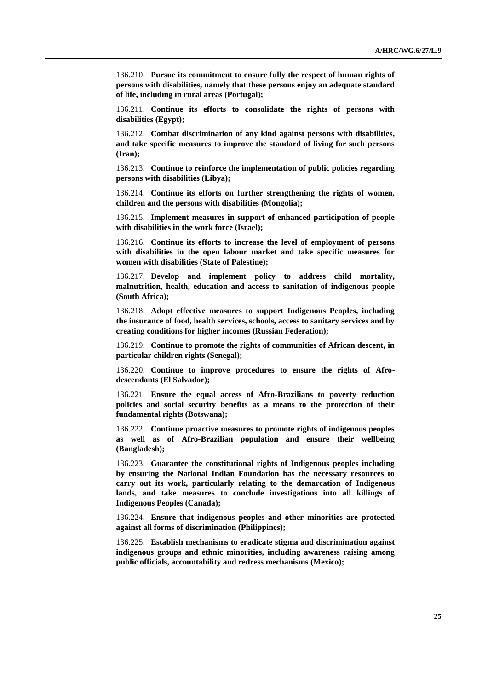136.210. **Pursue its commitment to ensure fully the respect of human rights of persons with disabilities, namely that these persons enjoy an adequate standard of life, including in rural areas (Portugal);**

136.211. **Continue its efforts to consolidate the rights of persons with disabilities (Egypt);**

136.212. **Combat discrimination of any kind against persons with disabilities, and take specific measures to improve the standard of living for such persons (Iran);**

136.213. **Continue to reinforce the implementation of public policies regarding persons with disabilities (Libya);**

136.214. **Continue its efforts on further strengthening the rights of women, children and the persons with disabilities (Mongolia);**

136.215. **Implement measures in support of enhanced participation of people with disabilities in the work force (Israel);**

136.216. **Continue its efforts to increase the level of employment of persons with disabilities in the open labour market and take specific measures for women with disabilities (State of Palestine);**

136.217. **Develop and implement policy to address child mortality, malnutrition, health, education and access to sanitation of indigenous people (South Africa);**

136.218. **Adopt effective measures to support Indigenous Peoples, including the insurance of food, health services, schools, access to sanitary services and by creating conditions for higher incomes (Russian Federation);**

136.219. **Continue to promote the rights of communities of African descent, in particular children rights (Senegal);**

136.220. **Continue to improve procedures to ensure the rights of Afrodescendants (El Salvador);**

136.221. **Ensure the equal access of Afro-Brazilians to poverty reduction policies and social security benefits as a means to the protection of their fundamental rights (Botswana);**

136.222. **Continue proactive measures to promote rights of indigenous peoples as well as of Afro-Brazilian population and ensure their wellbeing (Bangladesh);**

136.223. **Guarantee the constitutional rights of Indigenous peoples including by ensuring the National Indian Foundation has the necessary resources to carry out its work, particularly relating to the demarcation of Indigenous lands, and take measures to conclude investigations into all killings of Indigenous Peoples (Canada);**

136.224. **Ensure that indigenous peoples and other minorities are protected against all forms of discrimination (Philippines);**

136.225. **Establish mechanisms to eradicate stigma and discrimination against indigenous groups and ethnic minorities, including awareness raising among public officials, accountability and redress mechanisms (Mexico);**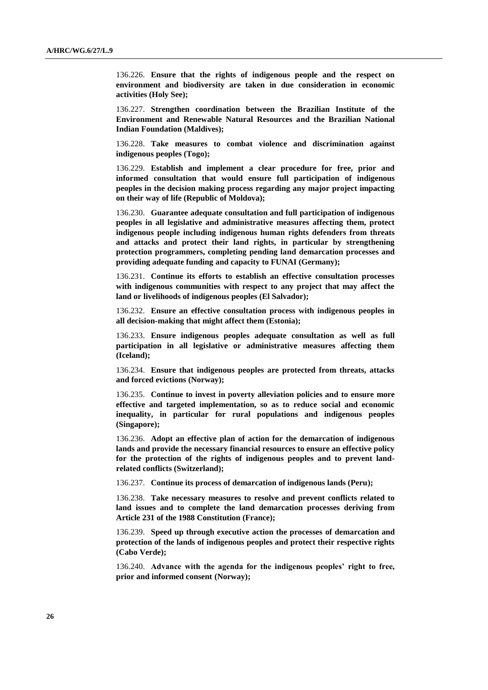136.226. **Ensure that the rights of indigenous people and the respect on environment and biodiversity are taken in due consideration in economic activities (Holy See);**

136.227. **Strengthen coordination between the Brazilian Institute of the Environment and Renewable Natural Resources and the Brazilian National Indian Foundation (Maldives);**

136.228. **Take measures to combat violence and discrimination against indigenous peoples (Togo);**

136.229. **Establish and implement a clear procedure for free, prior and informed consultation that would ensure full participation of indigenous peoples in the decision making process regarding any major project impacting on their way of life (Republic of Moldova);**

136.230. **Guarantee adequate consultation and full participation of indigenous peoples in all legislative and administrative measures affecting them, protect indigenous people including indigenous human rights defenders from threats and attacks and protect their land rights, in particular by strengthening protection programmers, completing pending land demarcation processes and providing adequate funding and capacity to FUNAI (Germany);**

136.231. **Continue its efforts to establish an effective consultation processes with indigenous communities with respect to any project that may affect the land or livelihoods of indigenous peoples (El Salvador);**

136.232. **Ensure an effective consultation process with indigenous peoples in all decision-making that might affect them (Estonia);**

136.233. **Ensure indigenous peoples adequate consultation as well as full participation in all legislative or administrative measures affecting them (Iceland);**

136.234. **Ensure that indigenous peoples are protected from threats, attacks and forced evictions (Norway);**

136.235. **Continue to invest in poverty alleviation policies and to ensure more effective and targeted implementation, so as to reduce social and economic inequality, in particular for rural populations and indigenous peoples (Singapore);**

136.236. **Adopt an effective plan of action for the demarcation of indigenous lands and provide the necessary financial resources to ensure an effective policy for the protection of the rights of indigenous peoples and to prevent landrelated conflicts (Switzerland);**

136.237. **Continue its process of demarcation of indigenous lands (Peru);**

136.238. **Take necessary measures to resolve and prevent conflicts related to land issues and to complete the land demarcation processes deriving from Article 231 of the 1988 Constitution (France);**

136.239. **Speed up through executive action the processes of demarcation and protection of the lands of indigenous peoples and protect their respective rights (Cabo Verde);**

136.240. **Advance with the agenda for the indigenous peoples' right to free, prior and informed consent (Norway);**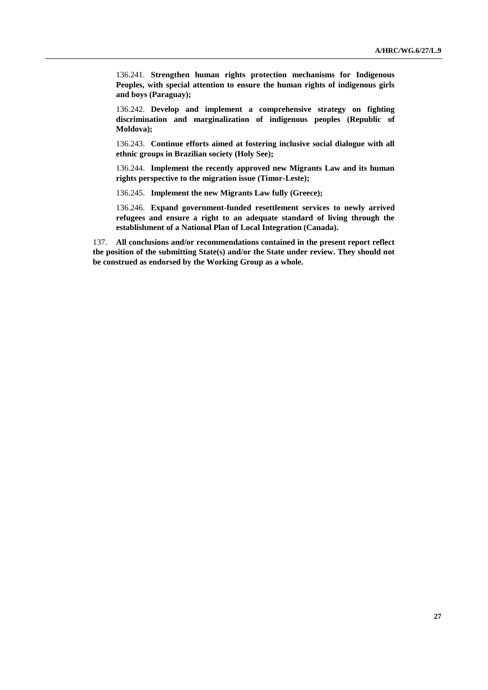136.241. **Strengthen human rights protection mechanisms for Indigenous Peoples, with special attention to ensure the human rights of indigenous girls and boys (Paraguay);**

136.242. **Develop and implement a comprehensive strategy on fighting discrimination and marginalization of indigenous peoples (Republic of Moldova);**

136.243. **Continue efforts aimed at fostering inclusive social dialogue with all ethnic groups in Brazilian society (Holy See);**

136.244. **Implement the recently approved new Migrants Law and its human rights perspective to the migration issue (Timor-Leste);**

136.245. **Implement the new Migrants Law fully (Greece);**

136.246. **Expand government-funded resettlement services to newly arrived refugees and ensure a right to an adequate standard of living through the establishment of a National Plan of Local Integration (Canada).**

137. **All conclusions and/or recommendations contained in the present report reflect the position of the submitting State(s) and/or the State under review. They should not be construed as endorsed by the Working Group as a whole.**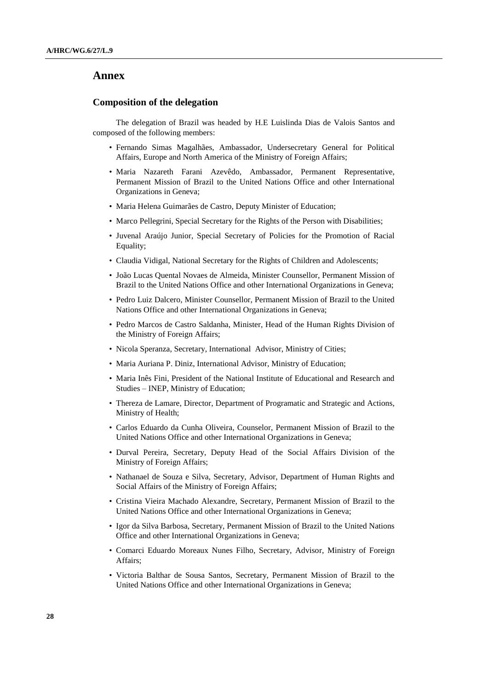#### **Annex**

#### **Composition of the delegation**

The delegation of Brazil was headed by H.E Luislinda Dias de Valois Santos and composed of the following members:

- Fernando Simas Magalhães, Ambassador, Undersecretary General for Political Affairs, Europe and North America of the Ministry of Foreign Affairs;
- Maria Nazareth Farani Azevêdo, Ambassador, Permanent Representative, Permanent Mission of Brazil to the United Nations Office and other International Organizations in Geneva;
- Maria Helena Guimarães de Castro, Deputy Minister of Education;
- Marco Pellegrini, Special Secretary for the Rights of the Person with Disabilities;
- Juvenal Araújo Junior, Special Secretary of Policies for the Promotion of Racial Equality;
- Claudia Vidigal, National Secretary for the Rights of Children and Adolescents;
- João Lucas Quental Novaes de Almeida, Minister Counsellor, Permanent Mission of Brazil to the United Nations Office and other International Organizations in Geneva;
- Pedro Luiz Dalcero, Minister Counsellor, Permanent Mission of Brazil to the United Nations Office and other International Organizations in Geneva;
- Pedro Marcos de Castro Saldanha, Minister, Head of the Human Rights Division of the Ministry of Foreign Affairs;
- Nicola Speranza, Secretary, International Advisor, Ministry of Cities;
- Maria Auriana P. Diniz, International Advisor, Ministry of Education;
- Maria Inês Fini, President of the National Institute of Educational and Research and Studies – INEP, Ministry of Education;
- Thereza de Lamare, Director, Department of Programatic and Strategic and Actions, Ministry of Health;
- Carlos Eduardo da Cunha Oliveira, Counselor, Permanent Mission of Brazil to the United Nations Office and other International Organizations in Geneva;
- Durval Pereira, Secretary, Deputy Head of the Social Affairs Division of the Ministry of Foreign Affairs;
- Nathanael de Souza e Silva, Secretary, Advisor, Department of Human Rights and Social Affairs of the Ministry of Foreign Affairs;
- Cristina Vieira Machado Alexandre, Secretary, Permanent Mission of Brazil to the United Nations Office and other International Organizations in Geneva;
- Igor da Silva Barbosa, Secretary, Permanent Mission of Brazil to the United Nations Office and other International Organizations in Geneva;
- Comarci Eduardo Moreaux Nunes Filho, Secretary, Advisor, Ministry of Foreign Affairs;
- Victoria Balthar de Sousa Santos, Secretary, Permanent Mission of Brazil to the United Nations Office and other International Organizations in Geneva;